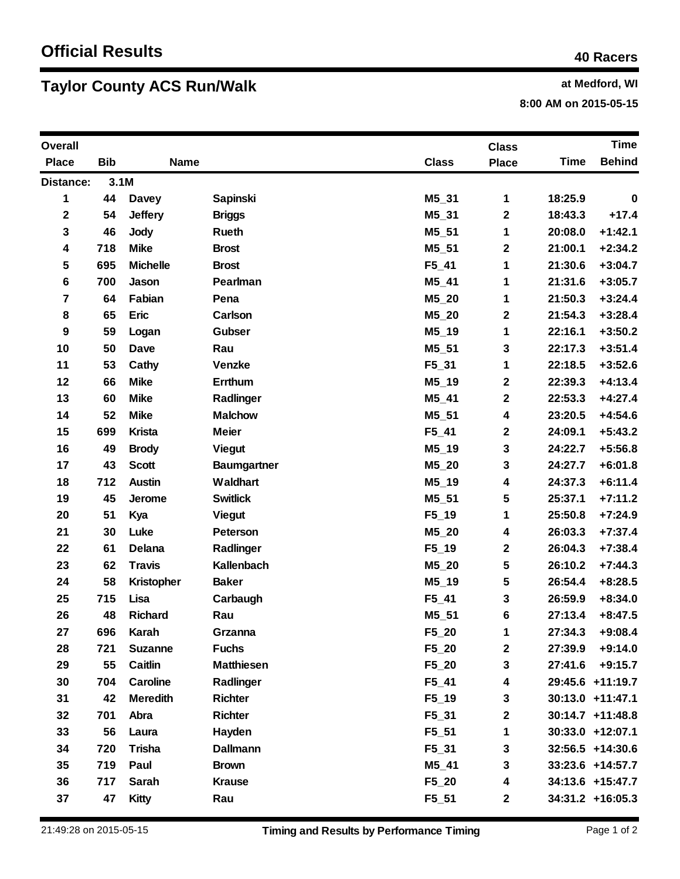## **Taylor County ACS Run/Walk at Medford, WI at Medford, WI**

**8:00 AM on 2015-05-15**

| <b>Overall</b> |            |                   |                    |              | <b>Class</b> |             | <b>Time</b>         |
|----------------|------------|-------------------|--------------------|--------------|--------------|-------------|---------------------|
| <b>Place</b>   | <b>Bib</b> | <b>Name</b>       |                    | <b>Class</b> | <b>Place</b> | <b>Time</b> | <b>Behind</b>       |
| Distance:      | 3.1M       |                   |                    |              |              |             |                     |
| 1              | 44         | <b>Davey</b>      | <b>Sapinski</b>    | M5 31        | 1            | 18:25.9     | $\mathbf 0$         |
| $\mathbf 2$    | 54         | <b>Jeffery</b>    | <b>Briggs</b>      | $M5_31$      | $\mathbf 2$  | 18:43.3     | $+17.4$             |
| 3              | 46         | <b>Jody</b>       | Rueth              | M5_51        | 1            | 20:08.0     | $+1:42.1$           |
| 4              | 718        | <b>Mike</b>       | <b>Brost</b>       | $M5_51$      | $\mathbf 2$  | 21:00.1     | $+2:34.2$           |
| 5              | 695        | <b>Michelle</b>   | <b>Brost</b>       | $F5_41$      | 1            | 21:30.6     | $+3:04.7$           |
| 6              | 700        | Jason             | Pearlman           | $M5_41$      | 1            | 21:31.6     | $+3:05.7$           |
| 7              | 64         | Fabian            | Pena               | $M5_20$      | 1            | 21:50.3     | $+3:24.4$           |
| 8              | 65         | <b>Eric</b>       | Carlson            | $M5_20$      | $\mathbf 2$  | 21:54.3     | $+3:28.4$           |
| 9              | 59         | Logan             | Gubser             | $M5_19$      | 1            | 22:16.1     | $+3:50.2$           |
| 10             | 50         | Dave              | Rau                | $M5_51$      | 3            | 22:17.3     | $+3:51.4$           |
| 11             | 53         | Cathy             | <b>Venzke</b>      | F5_31        | 1            | 22:18.5     | $+3:52.6$           |
| 12             | 66         | <b>Mike</b>       | Errthum            | $M5_19$      | $\mathbf 2$  | 22:39.3     | $+4:13.4$           |
| 13             | 60         | <b>Mike</b>       | Radlinger          | $M5_41$      | $\mathbf 2$  | 22:53.3     | $+4:27.4$           |
| 14             | 52         | <b>Mike</b>       | <b>Malchow</b>     | $M5_51$      | 4            | 23:20.5     | $+4:54.6$           |
| 15             | 699        | <b>Krista</b>     | <b>Meier</b>       | $F5_41$      | $\mathbf 2$  | 24:09.1     | $+5:43.2$           |
| 16             | 49         | <b>Brody</b>      | <b>Viegut</b>      | $M5_19$      | 3            | 24:22.7     | $+5:56.8$           |
| 17             | 43         | <b>Scott</b>      | <b>Baumgartner</b> | $M5_20$      | 3            | 24:27.7     | $+6:01.8$           |
| 18             | 712        | <b>Austin</b>     | Waldhart           | $M5_19$      | 4            | 24:37.3     | $+6:11.4$           |
| 19             | 45         | Jerome            | <b>Switlick</b>    | $M5_51$      | 5            | 25:37.1     | $+7:11.2$           |
| 20             | 51         | Kya               | <b>Viegut</b>      | $F5_19$      | 1            | 25:50.8     | $+7:24.9$           |
| 21             | 30         | Luke              | Peterson           | $M5_20$      | 4            | 26:03.3     | $+7:37.4$           |
| 22             | 61         | Delana            | Radlinger          | $F5_19$      | $\mathbf 2$  | 26:04.3     | $+7:38.4$           |
| 23             | 62         | <b>Travis</b>     | Kallenbach         | $M5_20$      | 5            | 26:10.2     | $+7:44.3$           |
| 24             | 58         | <b>Kristopher</b> | <b>Baker</b>       | $M5_19$      | 5            | 26:54.4     | $+8:28.5$           |
| 25             | 715        | Lisa              | Carbaugh           | $F5_41$      | 3            | 26:59.9     | $+8:34.0$           |
| 26             | 48         | <b>Richard</b>    | Rau                | $M5_51$      | 6            | 27:13.4     | $+8:47.5$           |
| 27             | 696        | Karah             | Grzanna            | $F5_20$      | 1            | 27:34.3     | $+9:08.4$           |
| 28             | 721        | <b>Suzanne</b>    | <b>Fuchs</b>       | F5_20        | $\mathbf 2$  | 27:39.9     | $+9:14.0$           |
| 29             | 55         | Caitlin           | <b>Matthiesen</b>  | F5_20        | 3            | 27:41.6     | $+9:15.7$           |
| 30             | 704        | Caroline          | Radlinger          | $F5_41$      | 4            |             | 29:45.6 +11:19.7    |
| 31             | 42         | <b>Meredith</b>   | <b>Richter</b>     | $F5_1$       | 3            |             | 30:13.0 +11:47.1    |
| 32             | 701        | Abra              | <b>Richter</b>     | $F5_31$      | $\mathbf 2$  |             | $30:14.7 + 11:48.8$ |
| 33             | 56         | Laura             | Hayden             | $F5_51$      | 1            |             | 30:33.0 +12:07.1    |
| 34             | 720        | <b>Trisha</b>     | <b>Dallmann</b>    | $F5_31$      | 3            |             | $32:56.5 +14:30.6$  |
| 35             | 719        | Paul              | <b>Brown</b>       | M5_41        | 3            |             | 33:23.6 +14:57.7    |
| 36             | 717        | Sarah             | <b>Krause</b>      | F5_20        | 4            |             | 34:13.6 +15:47.7    |
| 37             | 47         | <b>Kitty</b>      | Rau                | $F5_51$      | $\mathbf{2}$ |             | $34:31.2 +16:05.3$  |